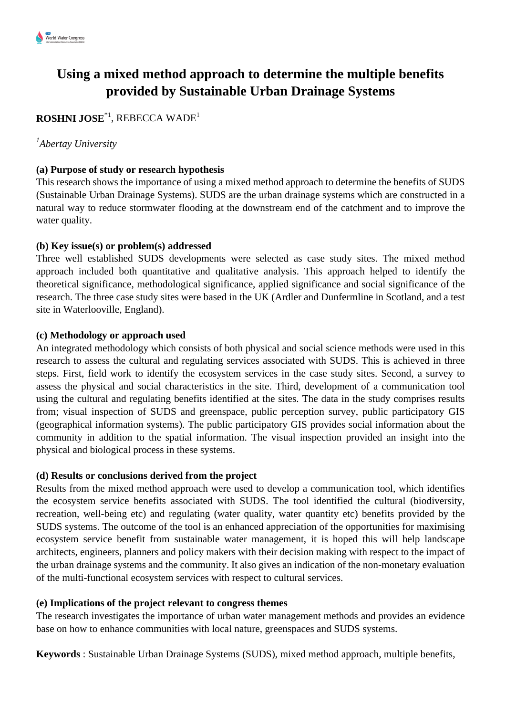# **Using a mixed method approach to determine the multiple benefits provided by Sustainable Urban Drainage Systems**

# **ROSHNI JOSE**\*1 , REBECCA WADE<sup>1</sup>

### *1 Abertay University*

#### **(a) Purpose of study or research hypothesis**

This research shows the importance of using a mixed method approach to determine the benefits of SUDS (Sustainable Urban Drainage Systems). SUDS are the urban drainage systems which are constructed in a natural way to reduce stormwater flooding at the downstream end of the catchment and to improve the water quality.

#### **(b) Key issue(s) or problem(s) addressed**

Three well established SUDS developments were selected as case study sites. The mixed method approach included both quantitative and qualitative analysis. This approach helped to identify the theoretical significance, methodological significance, applied significance and social significance of the research. The three case study sites were based in the UK (Ardler and Dunfermline in Scotland, and a test site in Waterlooville, England).

#### **(c) Methodology or approach used**

An integrated methodology which consists of both physical and social science methods were used in this research to assess the cultural and regulating services associated with SUDS. This is achieved in three steps. First, field work to identify the ecosystem services in the case study sites. Second, a survey to assess the physical and social characteristics in the site. Third, development of a communication tool using the cultural and regulating benefits identified at the sites. The data in the study comprises results from; visual inspection of SUDS and greenspace, public perception survey, public participatory GIS (geographical information systems). The public participatory GIS provides social information about the community in addition to the spatial information. The visual inspection provided an insight into the physical and biological process in these systems.

#### **(d) Results or conclusions derived from the project**

Results from the mixed method approach were used to develop a communication tool, which identifies the ecosystem service benefits associated with SUDS. The tool identified the cultural (biodiversity, recreation, well-being etc) and regulating (water quality, water quantity etc) benefits provided by the SUDS systems. The outcome of the tool is an enhanced appreciation of the opportunities for maximising ecosystem service benefit from sustainable water management, it is hoped this will help landscape architects, engineers, planners and policy makers with their decision making with respect to the impact of the urban drainage systems and the community. It also gives an indication of the non-monetary evaluation of the multi-functional ecosystem services with respect to cultural services.

#### **(e) Implications of the project relevant to congress themes**

The research investigates the importance of urban water management methods and provides an evidence base on how to enhance communities with local nature, greenspaces and SUDS systems.

**Keywords** : Sustainable Urban Drainage Systems (SUDS), mixed method approach, multiple benefits,